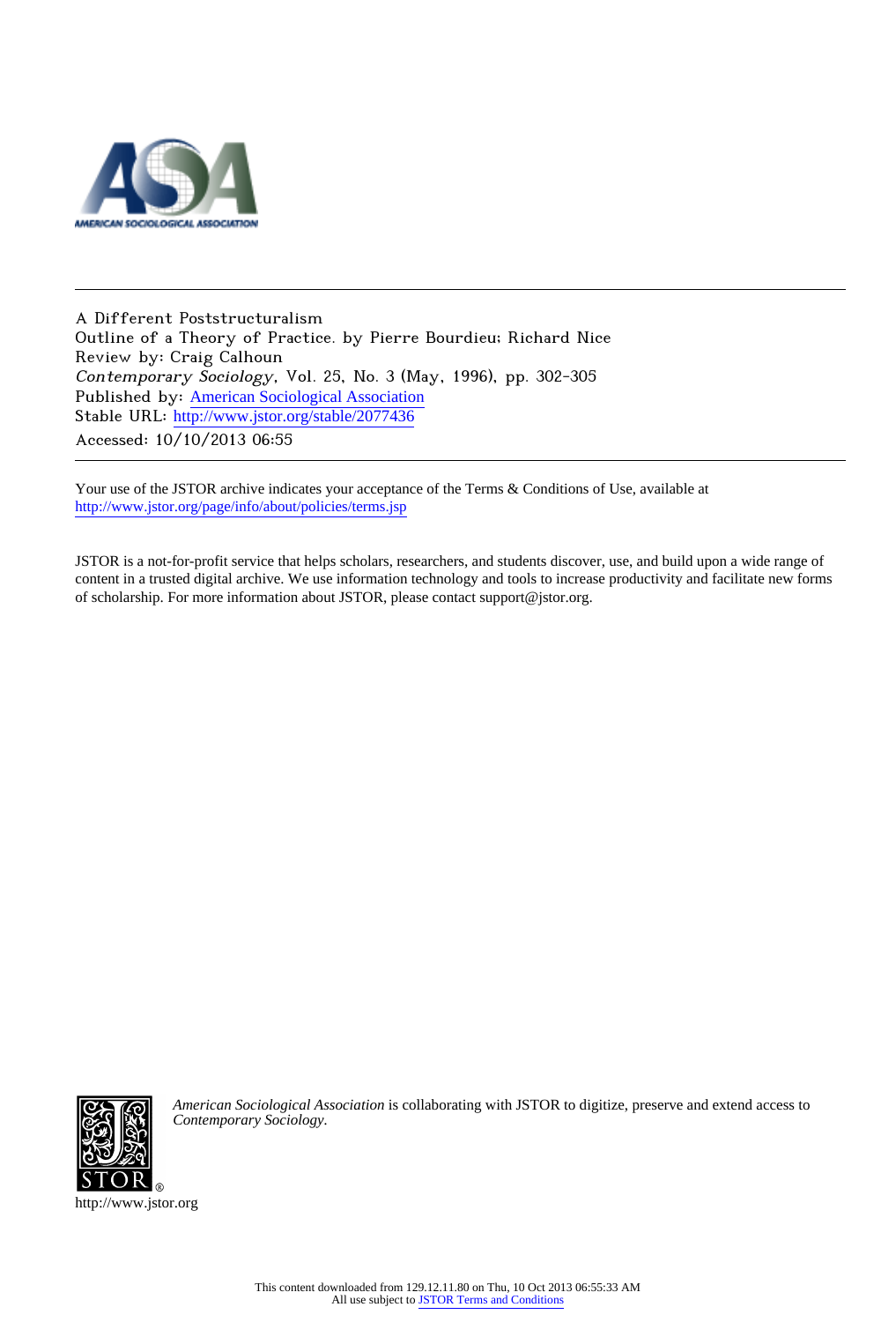

A Different Poststructuralism Outline of a Theory of Practice. by Pierre Bourdieu; Richard Nice Review by: Craig Calhoun Contemporary Sociology, Vol. 25, No. 3 (May, 1996), pp. 302-305 Published by: [American Sociological Association](http://www.jstor.org/action/showPublisher?publisherCode=asa) Stable URL: [http://www.jstor.org/stable/2077436](http://www.jstor.org/stable/2077436?origin=JSTOR-pdf) Accessed: 10/10/2013 06:55

Your use of the JSTOR archive indicates your acceptance of the Terms & Conditions of Use, available at <http://www.jstor.org/page/info/about/policies/terms.jsp>

JSTOR is a not-for-profit service that helps scholars, researchers, and students discover, use, and build upon a wide range of content in a trusted digital archive. We use information technology and tools to increase productivity and facilitate new forms of scholarship. For more information about JSTOR, please contact support@jstor.org.



*American Sociological Association* is collaborating with JSTOR to digitize, preserve and extend access to *Contemporary Sociology.*

http://www.jstor.org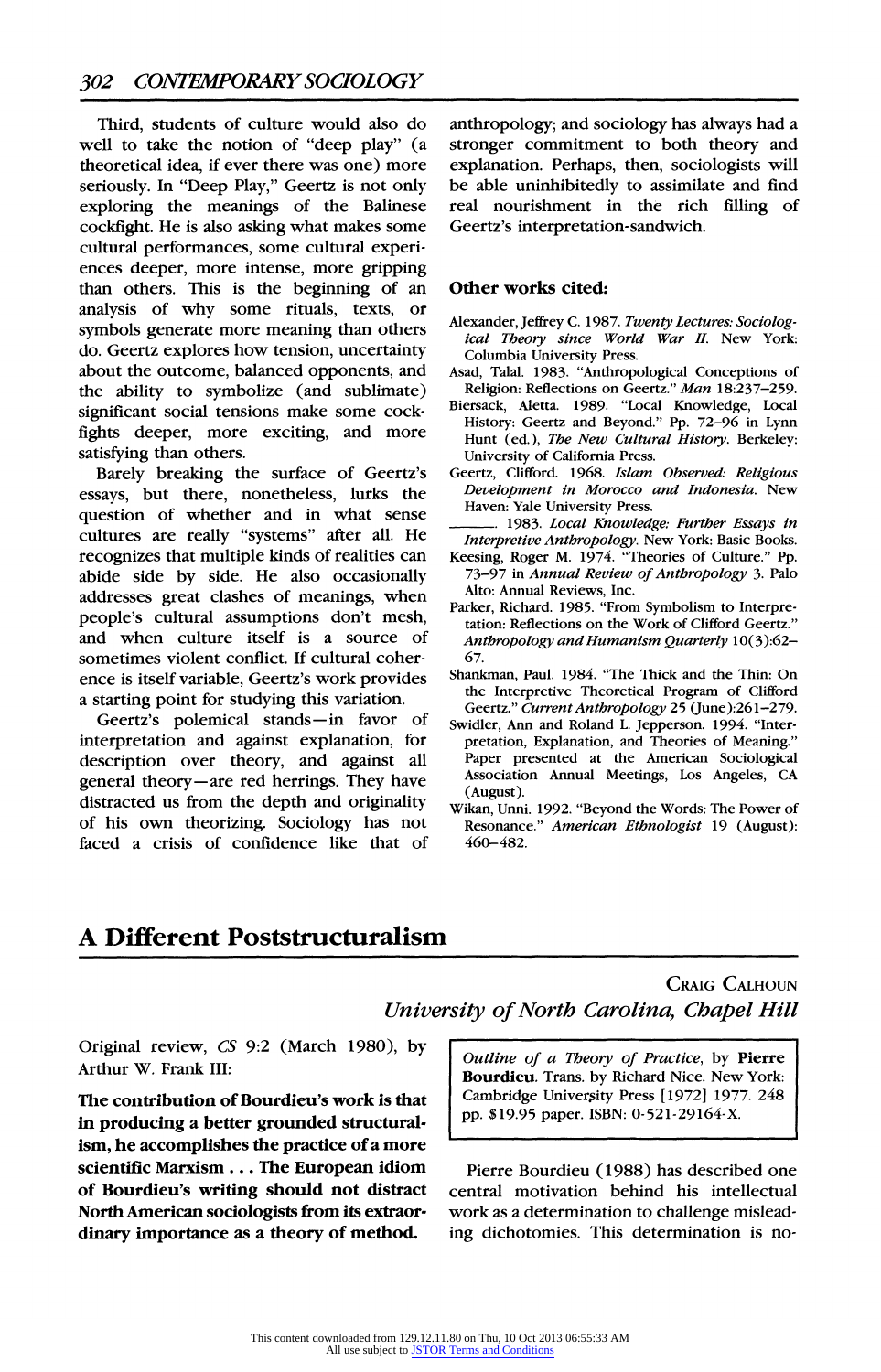Third, students of culture would also do well to take the notion of "deep play" (a theoretical idea, if ever there was one) more seriously. In "Deep Play," Geertz is not only exploring the meanings of the Balinese cockfight. He is also asking what makes some cultural performances, some cultural experiences deeper, more intense, more gripping than others. This is the beginning of an analysis of why some rituals, texts, or symbols generate more meaning than others do. Geertz explores how tension, uncertainty about the outcome, balanced opponents, and the ability to symbolize (and sublimate) significant social tensions make some cockfights deeper, more exciting, and more satisfying than others.

Barely breaking the surface of Geertz's essays, but there, nonetheless, lurks the question of whether and in what sense cultures are really "systems" after all. He recognizes that multiple kinds of realities can abide side by side. He also occasionally addresses great clashes of meanings, when people's cultural assumptions don't mesh, and when culture itself is a source of sometimes violent conflict. If cultural coherence is itself variable, Geertz's work provides a starting point for studying this variation.

Geertz's polemical stands-in favor of interpretation and against explanation, for description over theory, and against all general theory-are red herrings. They have distracted us from the depth and originality of his own theorizing. Sociology has not faced a crisis of confidence like that of anthropology; and sociology has always had a stronger commitment to both theory and explanation. Perhaps, then, sociologists will be able uninhibitedly to assimilate and find real nourishment in the rich filling of Geertz's interpretation-sandwich.

#### Other works cited:

- Alexander, Jeffrey C.1987. Twenty Lectures: Sociological Theory since World War II. New York: Columbia University Press.
- Asad, Talal. 1983. "Anthropological Conceptions of Religion: Reflections on Geertz." Man 18:237-259.
- Biersack, Aletta. 1989. "Local Knowledge, Local History: Geertz and Beyond." Pp. 72-96 in Lynn Hunt (ed.), The New Cultural History. Berkeley: University of California Press.
- Geertz, Clifford. 1968. Islam Observed: Religious Development in Morocco and Indonesia. New Haven: Yale University Press.
- . 1983. Local Knowledge: Further Essays in Interpretive Anthropology. New York: Basic Books.
- Keesing, Roger M. 1974. "Theories of Culture." Pp. 73-97 in Annual Review of Anthropology 3. Palo Alto: Annual Reviews, Inc.
- Parker, Richard. 1985. "From Symbolism to Interpretation: Reflections on the Work of Clifford Geertz." Anthropology and Humanism Quarterly 10(3):62- 67.
- Shankman, Paul. 1984. "The Thick and the Thin: On the Interpretive Theoretical Program of Clifford Geertz." Current Anthropology 25 (June):261-279.
- Swidler, Ann and Roland L. Jepperson. 1994. "Interpretation, Explanation, and Theories of Meaning.' Paper presented at the American Sociological Association Annual Meetings, Los Angeles, CA (August).
- Wikan, Unni. 1992. "Beyond the Words: The Power of Resonance." American Ethnologist 19 (August): 460-482.

# A Different Poststructuralism

## CRAIG CALHOUN University of North Carolina, Chapel Hill

Original review, CS 9:2 (March 1980), by Arthur W. Frank III:

The contribution of Bourdieu's work is that in producing a better grounded structuralism, he accomplishes the practice of a more scientific Marxism ... The European idiom of Bourdieu's writing should not distract North American sociologists from its extraordinary importance as a theory of method.

Outline of a Theory of Practice, by Pierre Bourdieu. Trans. by Richard Nice. New York: Cambridge University Press [1972] 1977. 248 pp. \$19.95 paper. ISBN: 0-521-29164-X.

Pierre Bourdieu (1988) has described one central motivation behind his intellectual work as a determination to challenge misleading dichotomies. This determination is no-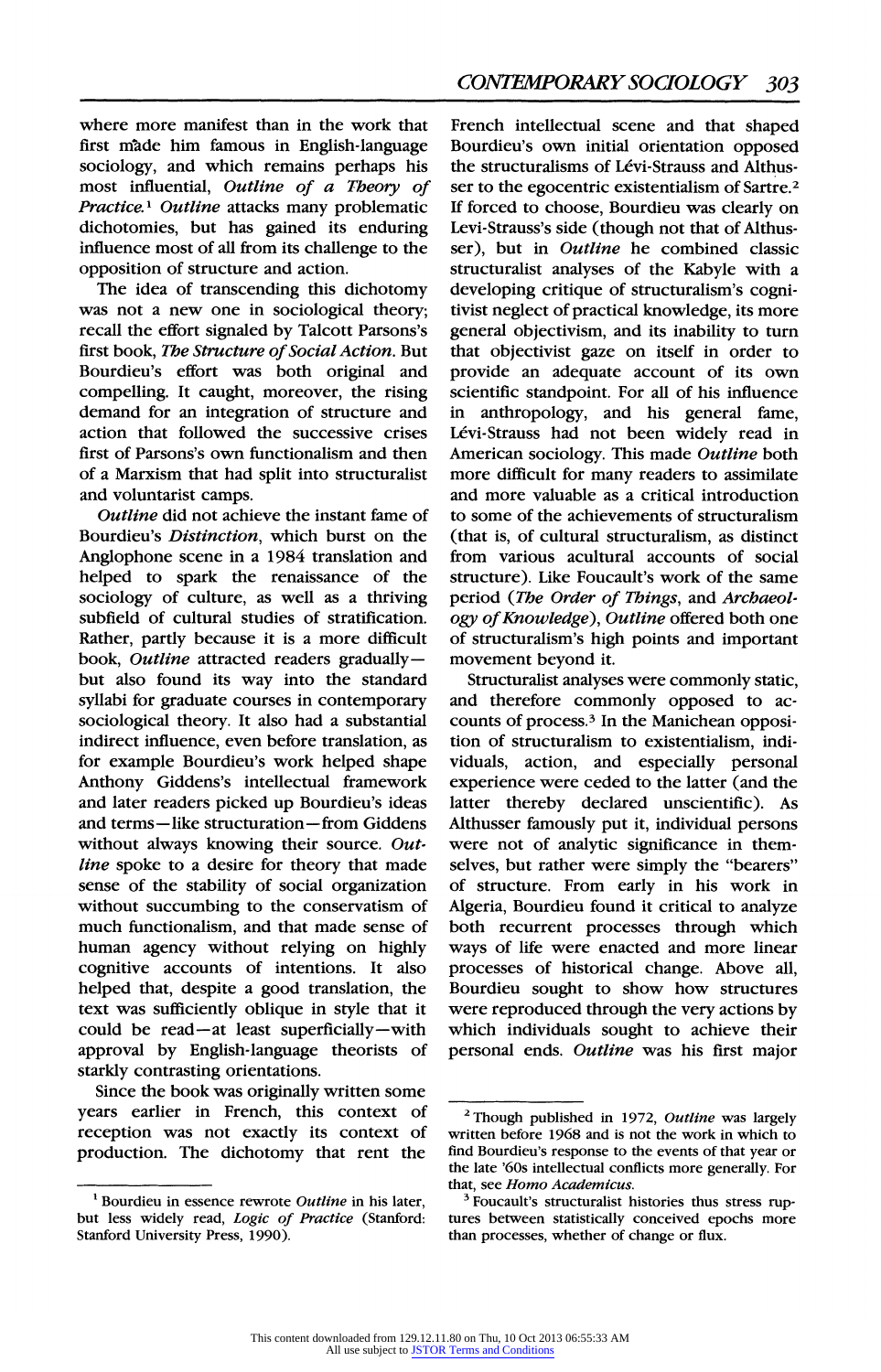where more manifest than in the work that first made him famous in English-language sociology, and which remains perhaps his most influential, Outline of a Theory of Practice.<sup>1</sup> Outline attacks many problematic dichotomies, but has gained its enduring influence most of all from its challenge to the opposition of structure and action.

The idea of transcending this dichotomy was not a new one in sociological theory; recall the effort signaled by Talcott Parsons's first book, The Structure of Social Action. But Bourdieu's effort was both original and compelling. It caught, moreover, the rising demand for an integration of structure and action that followed the successive crises first of Parsons's own functionalism and then of a Marxism that had split into structuralist and voluntarist camps.

Outline did not achieve the instant fame of Bourdieu's Distinction, which burst on the Anglophone scene in a 1984 translation and helped to spark the renaissance of the sociology of culture, as well as a thriving subfield of cultural studies of stratification. Rather, partly because it is a more difficult book, Outline attracted readers graduallybut also found its way into the standard syllabi for graduate courses in contemporary sociological theory. It also had a substantial indirect influence, even before translation, as for example Bourdieu's work helped shape Anthony Giddens's intellectual framework and later readers picked up Bourdieu's ideas and terms-like structuration- from Giddens without always knowing their source. Outline spoke to a desire for theory that made sense of the stability of social organization without succumbing to the conservatism of much functionalism, and that made sense of human agency without relying on highly cognitive accounts of intentions. It also helped that, despite a good translation, the text was sufficiently oblique in style that it could be read-at least superficially-with approval by English-language theorists of starkly contrasting orientations.

Since the book was originally written some years earlier in French, this context of reception was not exactly its context of production. The dichotomy that rent the

French intellectual scene and that shaped Bourdieu's own initial orientation opposed the structuralisms of Lévi-Strauss and Althusser to the egocentric existentialism of Sartre.2 If forced to choose, Bourdieu was clearly on Levi-Strauss's side (though not that of Althusser), but in Outline he combined classic structuralist analyses of the Kabyle with a developing critique of structuralism's cognitivist neglect of practical knowledge, its more general objectivism, and its inability to turn that objectivist gaze on itself in order to provide an adequate account of its own scientific standpoint. For all of his influence in anthropology, and his general fame, Lévi-Strauss had not been widely read in American sociology. This made Outline both more difficult for many readers to assimilate and more valuable as a critical introduction to some of the achievements of structuralism (that is, of cultural structuralism, as distinct from various acultural accounts of social structure). Like Foucault's work of the same period (The Order of Things, and Archaeology of Knowledge), Outline offered both one of structuralism's high points and important movement beyond it.

Structuralist analyses were commonly static, and therefore commonly opposed to accounts of process.3 In the Manichean opposition of structuralism to existentialism, individuals, action, and especially personal experience were ceded to the latter (and the latter thereby declared unscientific). As Althusser famously put it, individual persons were not of analytic significance in themselves, but rather were simply the "bearers" of structure. From early in his work in Algeria, Bourdieu found it critical to analyze both recurrent processes through which ways of life were enacted and more linear processes of historical change. Above all, Bourdieu sought to show how structures were reproduced through the very actions by which individuals sought to achieve their personal ends. Outline was his first major

 $<sup>1</sup>$  Bourdieu in essence rewrote Outline in his later,</sup> but less widely read, Logic of Practice (Stanford: Stanford University Press, 1990).

<sup>&</sup>lt;sup>2</sup> Though published in 1972, Outline was largely written before 1968 and is not the work in which to find Bourdieu's response to the events of that year or the late '60s intellectual conflicts more generally. For that, see Homo Academicus.

<sup>&</sup>lt;sup>3</sup> Foucault's structuralist histories thus stress ruptures between statistically conceived epochs more than processes, whether of change or flux.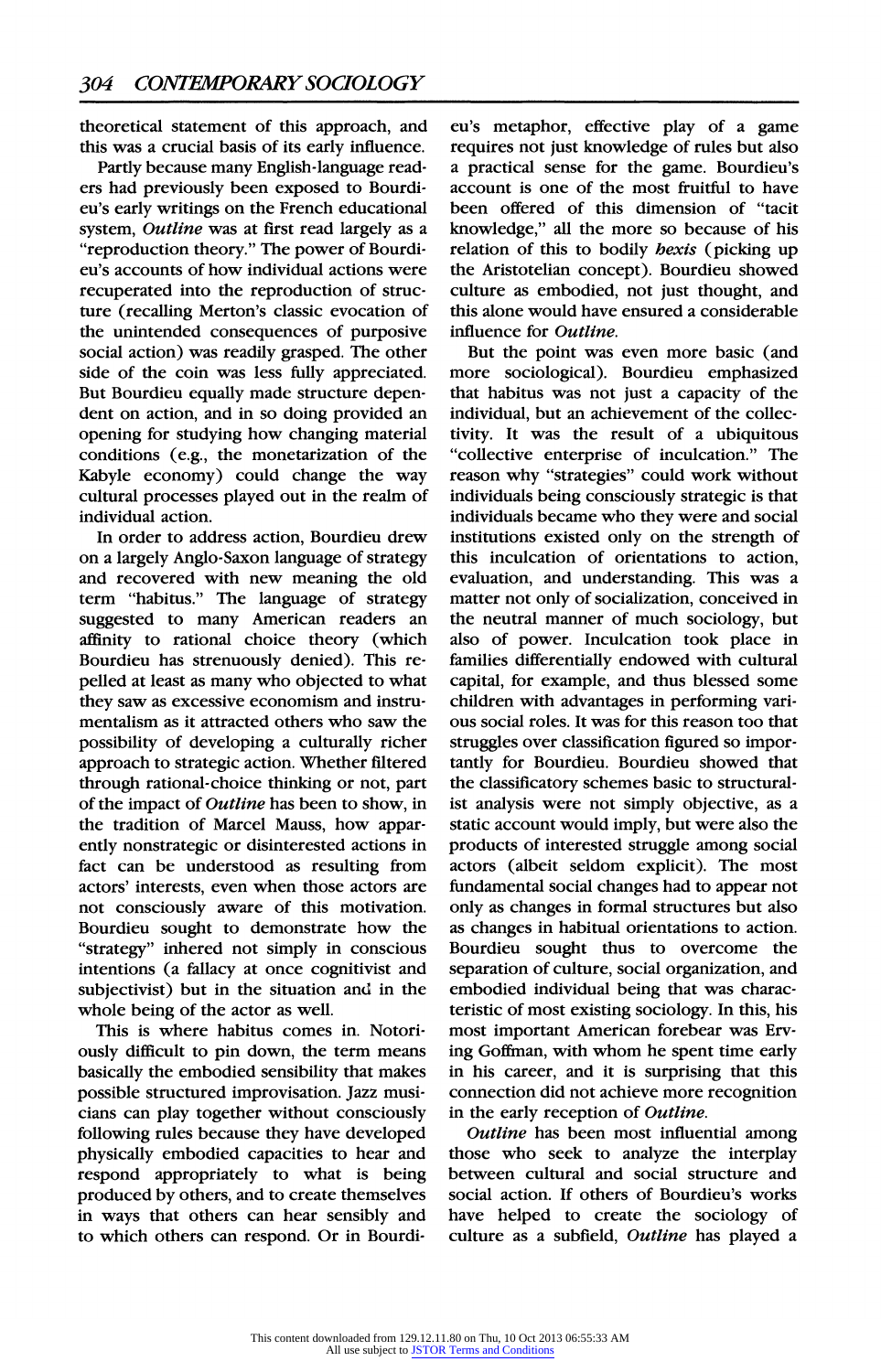theoretical statement of this approach, and this was a crucial basis of its early influence.

Partly because many English-language readers had previously been exposed to Bourdieu's early writings on the French educational system, Outline was at first read largely as a "reproduction theory." The power of Bourdieu's accounts of how individual actions were recuperated into the reproduction of structure (recalling Merton's classic evocation of the unintended consequences of purposive social action) was readily grasped. The other side of the coin was less fully appreciated. But Bourdieu equally made structure dependent on action, and in so doing provided an opening for studying how changing material conditions (e.g., the monetarization of the Kabyle economy) could change the way cultural processes played out in the realm of individual action.

In order to address action, Bourdieu drew on a largely Anglo-Saxon language of strategy and recovered with new meaning the old term "habitus." The language of strategy suggested to many American readers an affinity to rational choice theory (which Bourdieu has strenuously denied). This repelled at least as many who objected to what they saw as excessive economism and instrumentalism as it attracted others who saw the possibility of developing a culturally richer approach to strategic action. Whether filtered through rational-choice thinking or not, part of the impact of Outline has been to show, in the tradition of Marcel Mauss, how apparently nonstrategic or disinterested actions in fact can be understood as resulting from actors' interests, even when those actors are not consciously aware of this motivation. Bourdieu sought to demonstrate how the "strategy" inhered not simply in conscious intentions (a fallacy at once cognitivist and subjectivist) but in the situation and in the whole being of the actor as well.

This is where habitus comes in. Notoriously difficult to pin down, the term means basically the embodied sensibility that makes possible structured improvisation. Jazz musicians can play together without consciously following rules because they have developed physically embodied capacities to hear and respond appropriately to what is being produced by others, and to create themselves in ways that others can hear sensibly and to which others can respond. Or in Bourdieu's metaphor, effective play of a game requires not just knowledge of rules but also a practical sense for the game. Bourdieu's account is one of the most fruitful to have been offered of this dimension of "tacit knowledge," all the more so because of his relation of this to bodily *hexis* (picking up the Aristotelian concept). Bourdieu showed culture as embodied, not just thought, and this alone would have ensured a considerable influence for Outline.

But the point was even more basic (and more sociological). Bourdieu emphasized that habitus was not just a capacity of the individual, but an achievement of the collectivity. It was the result of a ubiquitous "collective enterprise of inculcation." The reason why "strategies" could work without individuals being consciously strategic is that individuals became who they were and social institutions existed only on the strength of this inculcation of orientations to action, evaluation, and understanding. This was a matter not only of socialization, conceived in the neutral manner of much sociology, but also of power. Inculcation took place in families differentially endowed with cultural capital, for example, and thus blessed some children with advantages in performing various social roles. It was for this reason too that struggles over classification figured so importantly for Bourdieu. Bourdieu showed that the classificatory schemes basic to structuralist analysis were not simply objective, as a static account would imply, but were also the products of interested struggle among social actors (albeit seldom explicit). The most fundamental social changes had to appear not only as changes in formal structures but also as changes in habitual orientations to action. Bourdieu sought thus to overcome the separation of culture, social organization, and embodied individual being that was characteristic of most existing sociology. In this, his most important American forebear was Erving Goffman, with whom he spent time early in his career, and it is surprising that this connection did not achieve more recognition in the early reception of Outline.

Outline has been most influential among those who seek to analyze the interplay between cultural and social structure and social action. If others of Bourdieu's works have helped to create the sociology of culture as a subfield, Outline has played a